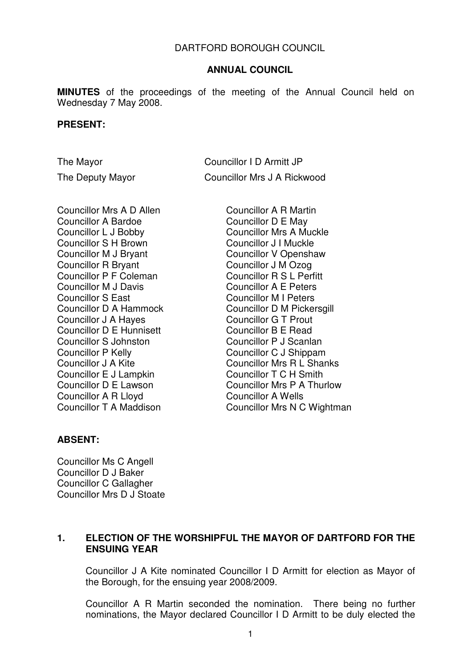#### DARTFORD BOROUGH COUNCIL

#### **ANNUAL COUNCIL**

**MINUTES** of the proceedings of the meeting of the Annual Council held on Wednesday 7 May 2008.

#### **PRESENT:**

The Mayor Councillor I D Armitt JP The Deputy Mayor Councillor Mrs J A Rickwood

Councillor Mrs A D Allen Councillor A Bardoe Councillor L J Bobby Councillor S H Brown Councillor M J Bryant Councillor R Bryant Councillor P F Coleman Councillor M J Davis Councillor S East Councillor D A Hammock Councillor J A Hayes Councillor D E Hunnisett Councillor S Johnston Councillor P Kelly Councillor J A Kite Councillor E J Lampkin Councillor D E Lawson Councillor A R Lloyd Councillor T A Maddison

Councillor A R Martin Councillor D E May Councillor Mrs A Muckle Councillor J I Muckle Councillor V Openshaw Councillor J M Ozog Councillor R S L Perfitt Councillor A E Peters Councillor M I Peters Councillor D M Pickersgill Councillor G T Prout Councillor B E Read Councillor P J Scanlan Councillor C J Shippam Councillor Mrs R L Shanks Councillor T C H Smith Councillor Mrs P A Thurlow Councillor A Wells Councillor Mrs N C Wightman

#### **ABSENT:**

Councillor Ms C Angell Councillor D J Baker Councillor C Gallagher Councillor Mrs D J Stoate

# **1. ELECTION OF THE WORSHIPFUL THE MAYOR OF DARTFORD FOR THE ENSUING YEAR**

Councillor J A Kite nominated Councillor I D Armitt for election as Mayor of the Borough, for the ensuing year 2008/2009.

Councillor A R Martin seconded the nomination. There being no further nominations, the Mayor declared Councillor I D Armitt to be duly elected the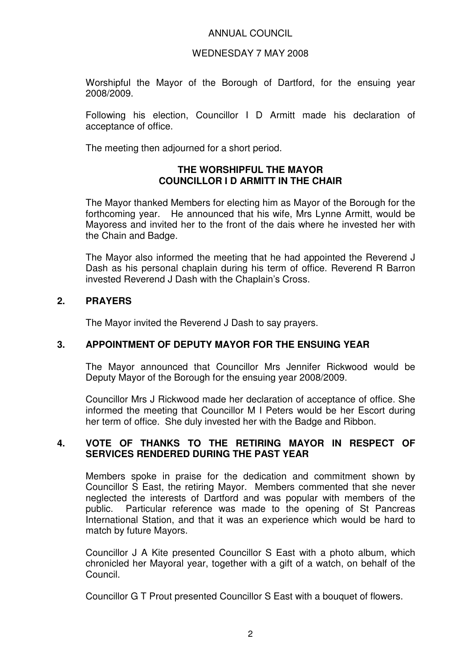#### WEDNESDAY 7 MAY 2008

Worshipful the Mayor of the Borough of Dartford, for the ensuing year 2008/2009.

Following his election, Councillor I D Armitt made his declaration of acceptance of office.

The meeting then adjourned for a short period.

## **THE WORSHIPFUL THE MAYOR COUNCILLOR I D ARMITT IN THE CHAIR**

The Mayor thanked Members for electing him as Mayor of the Borough for the forthcoming year. He announced that his wife, Mrs Lynne Armitt, would be Mayoress and invited her to the front of the dais where he invested her with the Chain and Badge.

The Mayor also informed the meeting that he had appointed the Reverend J Dash as his personal chaplain during his term of office. Reverend R Barron invested Reverend J Dash with the Chaplain's Cross.

## **2. PRAYERS**

The Mayor invited the Reverend J Dash to say prayers.

## **3. APPOINTMENT OF DEPUTY MAYOR FOR THE ENSUING YEAR**

The Mayor announced that Councillor Mrs Jennifer Rickwood would be Deputy Mayor of the Borough for the ensuing year 2008/2009.

Councillor Mrs J Rickwood made her declaration of acceptance of office. She informed the meeting that Councillor M I Peters would be her Escort during her term of office. She duly invested her with the Badge and Ribbon.

## **4. VOTE OF THANKS TO THE RETIRING MAYOR IN RESPECT OF SERVICES RENDERED DURING THE PAST YEAR**

Members spoke in praise for the dedication and commitment shown by Councillor S East, the retiring Mayor. Members commented that she never neglected the interests of Dartford and was popular with members of the public. Particular reference was made to the opening of St Pancreas International Station, and that it was an experience which would be hard to match by future Mayors.

Councillor J A Kite presented Councillor S East with a photo album, which chronicled her Mayoral year, together with a gift of a watch, on behalf of the Council.

Councillor G T Prout presented Councillor S East with a bouquet of flowers.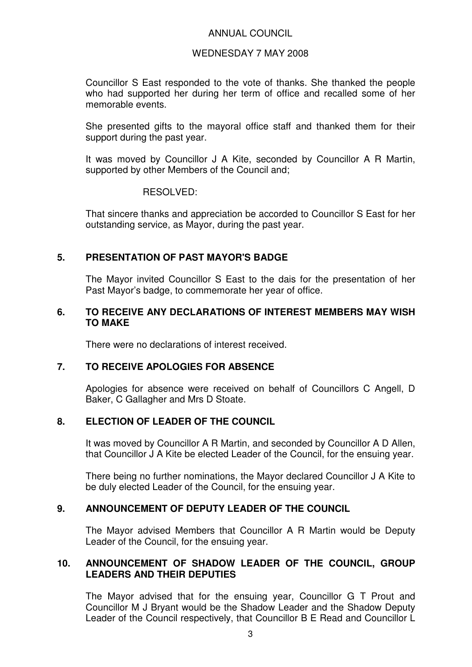#### WEDNESDAY 7 MAY 2008

Councillor S East responded to the vote of thanks. She thanked the people who had supported her during her term of office and recalled some of her memorable events.

She presented gifts to the mayoral office staff and thanked them for their support during the past year.

It was moved by Councillor J A Kite, seconded by Councillor A R Martin, supported by other Members of the Council and;

#### RESOLVED:

That sincere thanks and appreciation be accorded to Councillor S East for her outstanding service, as Mayor, during the past year.

# **5. PRESENTATION OF PAST MAYOR'S BADGE**

The Mayor invited Councillor S East to the dais for the presentation of her Past Mayor's badge, to commemorate her year of office.

#### **6. TO RECEIVE ANY DECLARATIONS OF INTEREST MEMBERS MAY WISH TO MAKE**

There were no declarations of interest received.

## **7. TO RECEIVE APOLOGIES FOR ABSENCE**

Apologies for absence were received on behalf of Councillors C Angell, D Baker, C Gallagher and Mrs D Stoate.

# **8. ELECTION OF LEADER OF THE COUNCIL**

It was moved by Councillor A R Martin, and seconded by Councillor A D Allen, that Councillor J A Kite be elected Leader of the Council, for the ensuing year.

There being no further nominations, the Mayor declared Councillor J A Kite to be duly elected Leader of the Council, for the ensuing year.

# **9. ANNOUNCEMENT OF DEPUTY LEADER OF THE COUNCIL**

The Mayor advised Members that Councillor A R Martin would be Deputy Leader of the Council, for the ensuing year.

## **10. ANNOUNCEMENT OF SHADOW LEADER OF THE COUNCIL, GROUP LEADERS AND THEIR DEPUTIES**

The Mayor advised that for the ensuing year, Councillor G T Prout and Councillor M J Bryant would be the Shadow Leader and the Shadow Deputy Leader of the Council respectively, that Councillor B E Read and Councillor L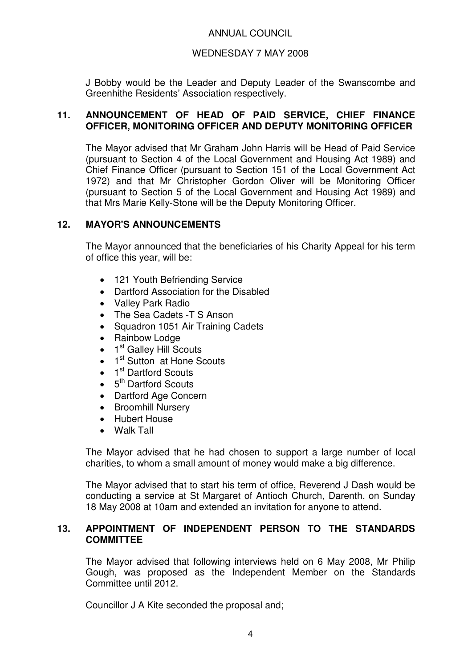# WEDNESDAY 7 MAY 2008

J Bobby would be the Leader and Deputy Leader of the Swanscombe and Greenhithe Residents' Association respectively.

## **11. ANNOUNCEMENT OF HEAD OF PAID SERVICE, CHIEF FINANCE OFFICER, MONITORING OFFICER AND DEPUTY MONITORING OFFICER**

The Mayor advised that Mr Graham John Harris will be Head of Paid Service (pursuant to Section 4 of the Local Government and Housing Act 1989) and Chief Finance Officer (pursuant to Section 151 of the Local Government Act 1972) and that Mr Christopher Gordon Oliver will be Monitoring Officer (pursuant to Section 5 of the Local Government and Housing Act 1989) and that Mrs Marie Kelly-Stone will be the Deputy Monitoring Officer.

# **12. MAYOR'S ANNOUNCEMENTS**

The Mayor announced that the beneficiaries of his Charity Appeal for his term of office this year, will be:

- 121 Youth Befriending Service
- Dartford Association for the Disabled
- Valley Park Radio
- The Sea Cadets -T S Anson
- Squadron 1051 Air Training Cadets
- Rainbow Lodge
- $\bullet$  1<sup>st</sup> Galley Hill Scouts
- $\bullet$  1<sup>st</sup> Sutton at Hone Scouts
- 1<sup>st</sup> Dartford Scouts
- $\bullet$  5<sup>th</sup> Dartford Scouts
- Dartford Age Concern
- Broomhill Nursery
- Hubert House
- Walk Tall

The Mayor advised that he had chosen to support a large number of local charities, to whom a small amount of money would make a big difference.

The Mayor advised that to start his term of office, Reverend J Dash would be conducting a service at St Margaret of Antioch Church, Darenth, on Sunday 18 May 2008 at 10am and extended an invitation for anyone to attend.

## **13. APPOINTMENT OF INDEPENDENT PERSON TO THE STANDARDS COMMITTEE**

The Mayor advised that following interviews held on 6 May 2008, Mr Philip Gough, was proposed as the Independent Member on the Standards Committee until 2012.

Councillor J A Kite seconded the proposal and;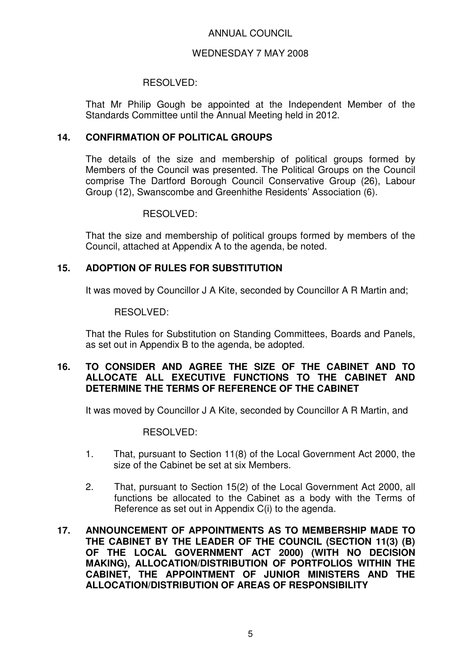#### WEDNESDAY 7 MAY 2008

#### RESOLVED:

That Mr Philip Gough be appointed at the Independent Member of the Standards Committee until the Annual Meeting held in 2012.

# **14. CONFIRMATION OF POLITICAL GROUPS**

The details of the size and membership of political groups formed by Members of the Council was presented. The Political Groups on the Council comprise The Dartford Borough Council Conservative Group (26), Labour Group (12), Swanscombe and Greenhithe Residents' Association (6).

## RESOLVED:

That the size and membership of political groups formed by members of the Council, attached at Appendix A to the agenda, be noted.

# **15. ADOPTION OF RULES FOR SUBSTITUTION**

It was moved by Councillor J A Kite, seconded by Councillor A R Martin and;

#### RESOLVED:

That the Rules for Substitution on Standing Committees, Boards and Panels, as set out in Appendix B to the agenda, be adopted.

## **16. TO CONSIDER AND AGREE THE SIZE OF THE CABINET AND TO ALLOCATE ALL EXECUTIVE FUNCTIONS TO THE CABINET AND DETERMINE THE TERMS OF REFERENCE OF THE CABINET**

It was moved by Councillor J A Kite, seconded by Councillor A R Martin, and

#### RESOLVED:

- 1. That, pursuant to Section 11(8) of the Local Government Act 2000, the size of the Cabinet be set at six Members.
- 2. That, pursuant to Section 15(2) of the Local Government Act 2000, all functions be allocated to the Cabinet as a body with the Terms of Reference as set out in Appendix C(i) to the agenda.
- **17. ANNOUNCEMENT OF APPOINTMENTS AS TO MEMBERSHIP MADE TO THE CABINET BY THE LEADER OF THE COUNCIL (SECTION 11(3) (B) OF THE LOCAL GOVERNMENT ACT 2000) (WITH NO DECISION MAKING), ALLOCATION/DISTRIBUTION OF PORTFOLIOS WITHIN THE CABINET, THE APPOINTMENT OF JUNIOR MINISTERS AND THE ALLOCATION/DISTRIBUTION OF AREAS OF RESPONSIBILITY**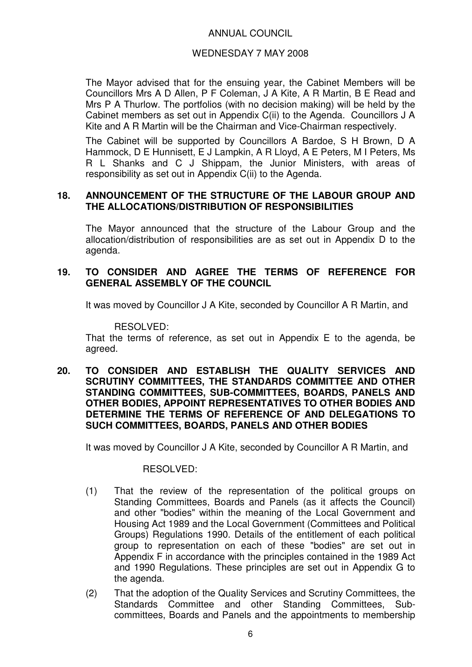## WEDNESDAY 7 MAY 2008

The Mayor advised that for the ensuing year, the Cabinet Members will be Councillors Mrs A D Allen, P F Coleman, J A Kite, A R Martin, B E Read and Mrs P A Thurlow. The portfolios (with no decision making) will be held by the Cabinet members as set out in Appendix C(ii) to the Agenda. Councillors J A Kite and A R Martin will be the Chairman and Vice-Chairman respectively.

The Cabinet will be supported by Councillors A Bardoe, S H Brown, D A Hammock, D E Hunnisett, E J Lampkin, A R Lloyd, A E Peters, M I Peters, Ms R L Shanks and C J Shippam, the Junior Ministers, with areas of responsibility as set out in Appendix C(ii) to the Agenda.

# **18. ANNOUNCEMENT OF THE STRUCTURE OF THE LABOUR GROUP AND THE ALLOCATIONS/DISTRIBUTION OF RESPONSIBILITIES**

The Mayor announced that the structure of the Labour Group and the allocation/distribution of responsibilities are as set out in Appendix D to the agenda.

# **19. TO CONSIDER AND AGREE THE TERMS OF REFERENCE FOR GENERAL ASSEMBLY OF THE COUNCIL**

It was moved by Councillor J A Kite, seconded by Councillor A R Martin, and

#### RESOLVED:

That the terms of reference, as set out in Appendix E to the agenda, be agreed.

**20. TO CONSIDER AND ESTABLISH THE QUALITY SERVICES AND SCRUTINY COMMITTEES, THE STANDARDS COMMITTEE AND OTHER STANDING COMMITTEES, SUB-COMMITTEES, BOARDS, PANELS AND OTHER BODIES, APPOINT REPRESENTATIVES TO OTHER BODIES AND DETERMINE THE TERMS OF REFERENCE OF AND DELEGATIONS TO SUCH COMMITTEES, BOARDS, PANELS AND OTHER BODIES** 

It was moved by Councillor J A Kite, seconded by Councillor A R Martin, and

#### RESOLVED:

- (1) That the review of the representation of the political groups on Standing Committees, Boards and Panels (as it affects the Council) and other "bodies" within the meaning of the Local Government and Housing Act 1989 and the Local Government (Committees and Political Groups) Regulations 1990. Details of the entitlement of each political group to representation on each of these "bodies" are set out in Appendix F in accordance with the principles contained in the 1989 Act and 1990 Regulations. These principles are set out in Appendix G to the agenda.
- (2) That the adoption of the Quality Services and Scrutiny Committees, the Standards Committee and other Standing Committees, Subcommittees, Boards and Panels and the appointments to membership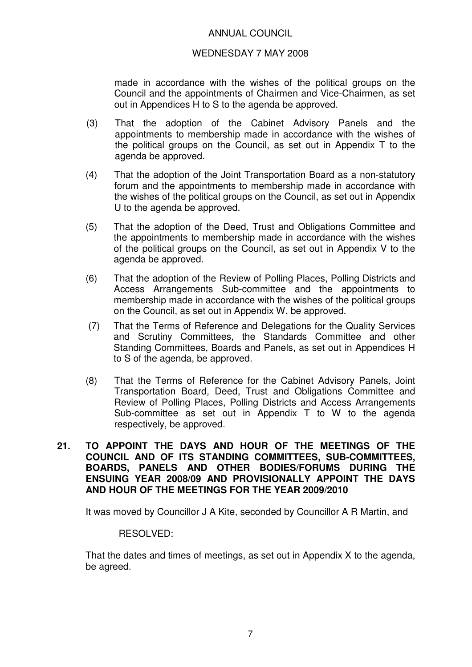#### WEDNESDAY 7 MAY 2008

made in accordance with the wishes of the political groups on the Council and the appointments of Chairmen and Vice-Chairmen, as set out in Appendices H to S to the agenda be approved.

- (3) That the adoption of the Cabinet Advisory Panels and the appointments to membership made in accordance with the wishes of the political groups on the Council, as set out in Appendix T to the agenda be approved.
- (4) That the adoption of the Joint Transportation Board as a non-statutory forum and the appointments to membership made in accordance with the wishes of the political groups on the Council, as set out in Appendix U to the agenda be approved.
- (5) That the adoption of the Deed, Trust and Obligations Committee and the appointments to membership made in accordance with the wishes of the political groups on the Council, as set out in Appendix V to the agenda be approved.
- (6) That the adoption of the Review of Polling Places, Polling Districts and Access Arrangements Sub-committee and the appointments to membership made in accordance with the wishes of the political groups on the Council, as set out in Appendix W, be approved.
- (7) That the Terms of Reference and Delegations for the Quality Services and Scrutiny Committees, the Standards Committee and other Standing Committees, Boards and Panels, as set out in Appendices H to S of the agenda, be approved.
- (8) That the Terms of Reference for the Cabinet Advisory Panels, Joint Transportation Board, Deed, Trust and Obligations Committee and Review of Polling Places, Polling Districts and Access Arrangements Sub-committee as set out in Appendix T to W to the agenda respectively, be approved.
- **21. TO APPOINT THE DAYS AND HOUR OF THE MEETINGS OF THE COUNCIL AND OF ITS STANDING COMMITTEES, SUB-COMMITTEES, BOARDS, PANELS AND OTHER BODIES/FORUMS DURING THE ENSUING YEAR 2008/09 AND PROVISIONALLY APPOINT THE DAYS AND HOUR OF THE MEETINGS FOR THE YEAR 2009/2010**

It was moved by Councillor J A Kite, seconded by Councillor A R Martin, and

#### RESOLVED:

That the dates and times of meetings, as set out in Appendix X to the agenda, be agreed.